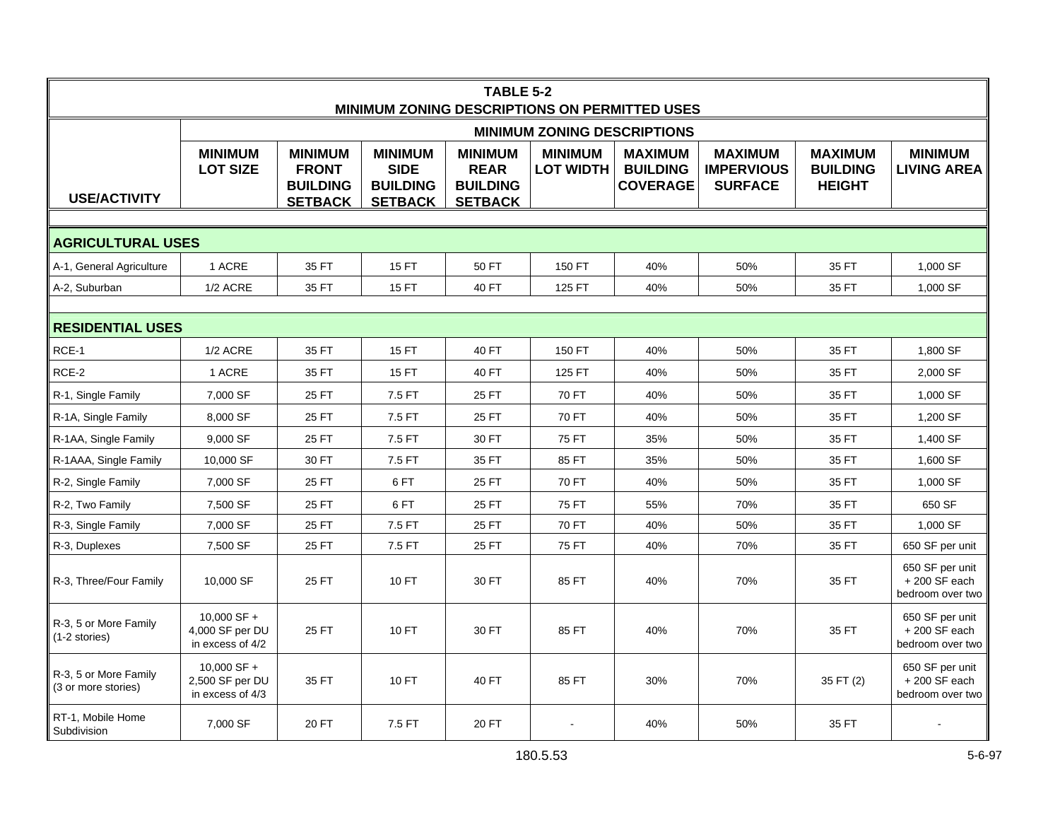| <b>TABLE 5-2</b><br>MINIMUM ZONING DESCRIPTIONS ON PERMITTED USES |                                                      |                                                                     |                                                                    |                                                                    |                                    |                                                      |                                                       |                                                    |                                                       |  |  |
|-------------------------------------------------------------------|------------------------------------------------------|---------------------------------------------------------------------|--------------------------------------------------------------------|--------------------------------------------------------------------|------------------------------------|------------------------------------------------------|-------------------------------------------------------|----------------------------------------------------|-------------------------------------------------------|--|--|
|                                                                   | <b>MINIMUM ZONING DESCRIPTIONS</b>                   |                                                                     |                                                                    |                                                                    |                                    |                                                      |                                                       |                                                    |                                                       |  |  |
| <b>USE/ACTIVITY</b>                                               | <b>MINIMUM</b><br><b>LOT SIZE</b>                    | <b>MINIMUM</b><br><b>FRONT</b><br><b>BUILDING</b><br><b>SETBACK</b> | <b>MINIMUM</b><br><b>SIDE</b><br><b>BUILDING</b><br><b>SETBACK</b> | <b>MINIMUM</b><br><b>REAR</b><br><b>BUILDING</b><br><b>SETBACK</b> | <b>MINIMUM</b><br><b>LOT WIDTH</b> | <b>MAXIMUM</b><br><b>BUILDING</b><br><b>COVERAGE</b> | <b>MAXIMUM</b><br><b>IMPERVIOUS</b><br><b>SURFACE</b> | <b>MAXIMUM</b><br><b>BUILDING</b><br><b>HEIGHT</b> | <b>MINIMUM</b><br><b>LIVING AREA</b>                  |  |  |
|                                                                   |                                                      |                                                                     |                                                                    |                                                                    |                                    |                                                      |                                                       |                                                    |                                                       |  |  |
| <b>AGRICULTURAL USES</b>                                          |                                                      |                                                                     |                                                                    |                                                                    |                                    |                                                      |                                                       |                                                    |                                                       |  |  |
| A-1, General Agriculture                                          | 1 ACRE                                               | 35 FT                                                               | 15 FT                                                              | 50 FT                                                              | 150 FT                             | 40%                                                  | 50%                                                   | 35 FT                                              | 1,000 SF                                              |  |  |
| A-2, Suburban                                                     | 1/2 ACRE                                             | 35 FT                                                               | 15 FT                                                              | 40 FT                                                              | 125 FT                             | 40%                                                  | 50%                                                   | 35 FT                                              | 1,000 SF                                              |  |  |
| <b>RESIDENTIAL USES</b>                                           |                                                      |                                                                     |                                                                    |                                                                    |                                    |                                                      |                                                       |                                                    |                                                       |  |  |
| RCE-1                                                             | 1/2 ACRE                                             | 35 FT                                                               | 15 FT                                                              | 40 FT                                                              | 150 FT                             | 40%                                                  | 50%                                                   | 35 FT                                              | 1,800 SF                                              |  |  |
| RCE-2                                                             | 1 ACRE                                               | 35 FT                                                               | <b>15 FT</b>                                                       | 40 FT                                                              | 125 FT                             | 40%                                                  | 50%                                                   | 35 FT                                              | 2,000 SF                                              |  |  |
| R-1, Single Family                                                | 7,000 SF                                             | 25 FT                                                               | 7.5 FT                                                             | 25 FT                                                              | 70 FT                              | 40%                                                  | 50%                                                   | 35 FT                                              | 1,000 SF                                              |  |  |
| R-1A, Single Family                                               | 8,000 SF                                             | 25 FT                                                               | 7.5 FT                                                             | 25 FT                                                              | 70 FT                              | 40%                                                  | 50%                                                   | 35 FT                                              | 1,200 SF                                              |  |  |
| R-1AA, Single Family                                              | 9,000 SF                                             | 25 FT                                                               | 7.5 FT                                                             | 30 FT                                                              | 75 FT                              | 35%                                                  | 50%                                                   | 35 FT                                              | 1,400 SF                                              |  |  |
| R-1AAA, Single Family                                             | 10,000 SF                                            | 30 FT                                                               | 7.5 FT                                                             | 35 FT                                                              | 85 FT                              | 35%                                                  | 50%                                                   | 35 FT                                              | 1,600 SF                                              |  |  |
| R-2, Single Family                                                | 7,000 SF                                             | 25 FT                                                               | 6FT                                                                | 25 FT                                                              | 70 FT                              | 40%                                                  | 50%                                                   | 35 FT                                              | 1,000 SF                                              |  |  |
| R-2, Two Family                                                   | 7,500 SF                                             | 25 FT                                                               | 6FT                                                                | 25 FT                                                              | <b>75 FT</b>                       | 55%                                                  | 70%                                                   | 35 FT                                              | 650 SF                                                |  |  |
| R-3, Single Family                                                | 7,000 SF                                             | 25 FT                                                               | 7.5 FT                                                             | 25 FT                                                              | 70 FT                              | 40%                                                  | 50%                                                   | 35 FT                                              | 1,000 SF                                              |  |  |
| R-3, Duplexes                                                     | 7,500 SF                                             | 25 FT                                                               | 7.5 FT                                                             | 25 FT                                                              | 75 FT                              | 40%                                                  | 70%                                                   | 35 FT                                              | 650 SF per unit                                       |  |  |
| R-3, Three/Four Family                                            | 10,000 SF                                            | 25 FT                                                               | 10 FT                                                              | 30 FT                                                              | 85 FT                              | 40%                                                  | 70%                                                   | 35 FT                                              | 650 SF per unit<br>$+200$ SF each<br>bedroom over two |  |  |
| R-3, 5 or More Family<br>(1-2 stories)                            | 10,000 SF +<br>4,000 SF per DU<br>in excess of 4/2   | 25 FT                                                               | 10 FT                                                              | 30 FT                                                              | 85 FT                              | 40%                                                  | 70%                                                   | 35 FT                                              | 650 SF per unit<br>$+200$ SF each<br>bedroom over two |  |  |
| R-3, 5 or More Family<br>(3 or more stories)                      | $10,000$ SF +<br>2,500 SF per DU<br>in excess of 4/3 | 35 FT                                                               | 10 FT                                                              | 40 FT                                                              | 85 FT                              | 30%                                                  | 70%                                                   | 35 FT (2)                                          | 650 SF per unit<br>$+200$ SF each<br>bedroom over two |  |  |
| RT-1, Mobile Home<br>Subdivision                                  | 7,000 SF                                             | 20 FT                                                               | 7.5 FT                                                             | 20 FT                                                              |                                    | 40%                                                  | 50%                                                   | 35 FT                                              |                                                       |  |  |